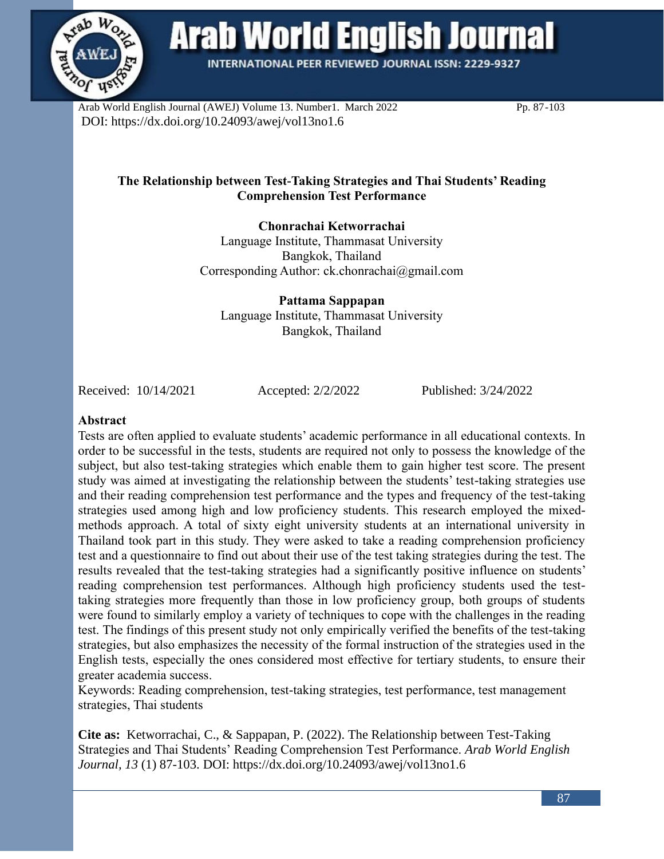

**Arab World English Journal** 

INTERNATIONAL PEER REVIEWED JOURNAL ISSN: 2229-9327

Arab World English Journal (AWEJ) Volume 13. Number1. March 2022 Pp. 87-103 DOI: https://dx.doi.org/10.24093/awej/vol13no1.6

# **The Relationship between Test-Taking Strategies and Thai Students' Reading Comprehension Test Performance**

**Chonrachai Ketworrachai** Language Institute, Thammasat University Bangkok, Thailand Corresponding Author: [ck.chonrachai@gmail.](mailto:ck.chonrachai@gmail)com

**Pattama Sappapan** Language Institute, Thammasat University Bangkok, Thailand

Received: 10/14/2021 Accepted: 2/2/2022 Published: 3/24/2022

### **Abstract**

Tests are often applied to evaluate students' academic performance in all educational contexts. In order to be successful in the tests, students are required not only to possess the knowledge of the subject, but also test-taking strategies which enable them to gain higher test score. The present study was aimed at investigating the relationship between the students' test-taking strategies use and their reading comprehension test performance and the types and frequency of the test-taking strategies used among high and low proficiency students. This research employed the mixedmethods approach. A total of sixty eight university students at an international university in Thailand took part in this study. They were asked to take a reading comprehension proficiency test and a questionnaire to find out about their use of the test taking strategies during the test. The results revealed that the test-taking strategies had a significantly positive influence on students' reading comprehension test performances. Although high proficiency students used the testtaking strategies more frequently than those in low proficiency group, both groups of students were found to similarly employ a variety of techniques to cope with the challenges in the reading test. The findings of this present study not only empirically verified the benefits of the test-taking strategies, but also emphasizes the necessity of the formal instruction of the strategies used in the English tests, especially the ones considered most effective for tertiary students, to ensure their greater academia success.

Keywords: Reading comprehension, test-taking strategies, test performance, test management strategies, Thai students

**Cite as:** Ketworrachai, C., & Sappapan, P. (2022). The Relationship between Test-Taking Strategies and Thai Students' Reading Comprehension Test Performance. *Arab World English Journal, 13* (1) 87-103. DOI: https://dx.doi.org/10.24093/awej/vol13no1.6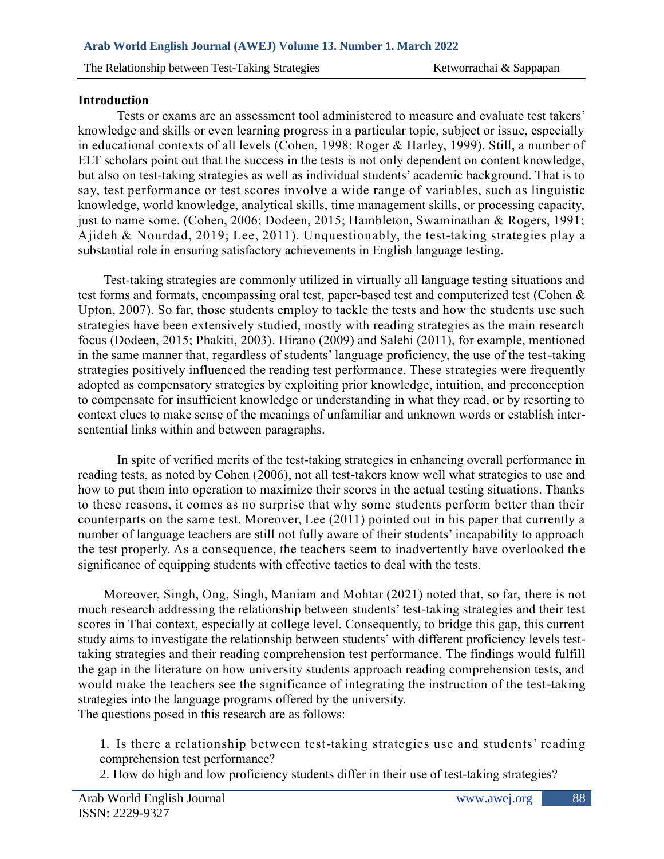## **Introduction**

Tests or exams are an assessment tool administered to measure and evaluate test takers' knowledge and skills or even learning progress in a particular topic, subject or issue, especially in educational contexts of all levels (Cohen, 1998; Roger & Harley, 1999). Still, a number of ELT scholars point out that the success in the tests is not only dependent on content knowledge, but also on test-taking strategies as well as individual students' academic background. That is to say, test performance or test scores involve a wide range of variables, such as linguistic knowledge, world knowledge, analytical skills, time management skills, or processing capacity, just to name some. (Cohen, 2006; Dodeen, 2015; Hambleton, Swaminathan & Rogers, 1991; Ajideh & Nourdad, 2019; Lee, 2011). Unquestionably, the test-taking strategies play a substantial role in ensuring satisfactory achievements in English language testing.

Test-taking strategies are commonly utilized in virtually all language testing situations and test forms and formats, encompassing oral test, paper-based test and computerized test (Cohen & Upton, 2007). So far, those students employ to tackle the tests and how the students use such strategies have been extensively studied, mostly with reading strategies as the main research focus (Dodeen, 2015; Phakiti, 2003). Hirano (2009) and Salehi (2011), for example, mentioned in the same manner that, regardless of students' language proficiency, the use of the test-taking strategies positively influenced the reading test performance. These strategies were frequently adopted as compensatory strategies by exploiting prior knowledge, intuition, and preconception to compensate for insufficient knowledge or understanding in what they read, or by resorting to context clues to make sense of the meanings of unfamiliar and unknown words or establish intersentential links within and between paragraphs.

In spite of verified merits of the test-taking strategies in enhancing overall performance in reading tests, as noted by Cohen (2006), not all test-takers know well what strategies to use and how to put them into operation to maximize their scores in the actual testing situations. Thanks to these reasons, it comes as no surprise that why some students perform better than their counterparts on the same test. Moreover, Lee (2011) pointed out in his paper that currently a number of language teachers are still not fully aware of their students' incapability to approach the test properly. As a consequence, the teachers seem to inadvertently have overlooked the significance of equipping students with effective tactics to deal with the tests.

Moreover, Singh, Ong, Singh, Maniam and Mohtar (2021) noted that, so far, there is not much research addressing the relationship between students' test-taking strategies and their test scores in Thai context, especially at college level. Consequently, to bridge this gap, this current study aims to investigate the relationship between students' with different proficiency levels testtaking strategies and their reading comprehension test performance. The findings would fulfill the gap in the literature on how university students approach reading comprehension tests, and would make the teachers see the significance of integrating the instruction of the test-taking strategies into the language programs offered by the university. The questions posed in this research are as follows:

1. Is there a relationship between test-taking strategies use and students' reading comprehension test performance?

2. How do high and low proficiency students differ in their use of test-taking strategies?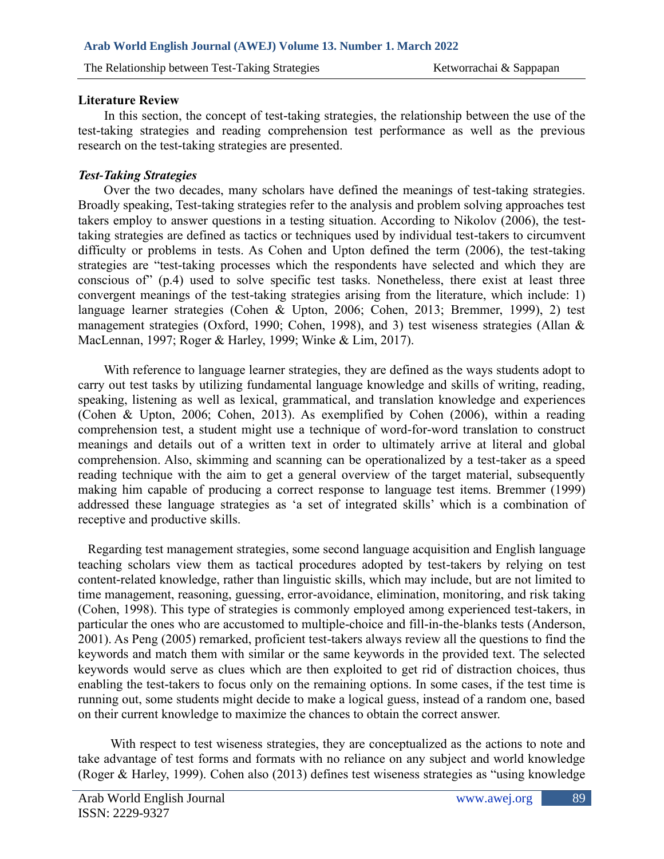## **Literature Review**

In this section, the concept of test-taking strategies, the relationship between the use of the test-taking strategies and reading comprehension test performance as well as the previous research on the test-taking strategies are presented.

# *Test-Taking Strategies*

Over the two decades, many scholars have defined the meanings of test-taking strategies. Broadly speaking, Test-taking strategies refer to the analysis and problem solving approaches test takers employ to answer questions in a testing situation. According to Nikolov (2006), the testtaking strategies are defined as tactics or techniques used by individual test-takers to circumvent difficulty or problems in tests. As Cohen and Upton defined the term (2006), the test-taking strategies are "test-taking processes which the respondents have selected and which they are conscious of" (p.4) used to solve specific test tasks. Nonetheless, there exist at least three convergent meanings of the test-taking strategies arising from the literature, which include: 1) language learner strategies (Cohen & Upton, 2006; Cohen, 2013; Bremmer, 1999), 2) test management strategies (Oxford, 1990; Cohen, 1998), and 3) test wiseness strategies (Allan & MacLennan, 1997; Roger & Harley, 1999; Winke & Lim, 2017).

With reference to language learner strategies, they are defined as the ways students adopt to carry out test tasks by utilizing fundamental language knowledge and skills of writing, reading, speaking, listening as well as lexical, grammatical, and translation knowledge and experiences (Cohen & Upton, 2006; Cohen, 2013). As exemplified by Cohen (2006), within a reading comprehension test, a student might use a technique of word-for-word translation to construct meanings and details out of a written text in order to ultimately arrive at literal and global comprehension. Also, skimming and scanning can be operationalized by a test-taker as a speed reading technique with the aim to get a general overview of the target material, subsequently making him capable of producing a correct response to language test items. Bremmer (1999) addressed these language strategies as 'a set of integrated skills' which is a combination of receptive and productive skills.

 Regarding test management strategies, some second language acquisition and English language teaching scholars view them as tactical procedures adopted by test-takers by relying on test content-related knowledge, rather than linguistic skills, which may include, but are not limited to time management, reasoning, guessing, error-avoidance, elimination, monitoring, and risk taking (Cohen, 1998). This type of strategies is commonly employed among experienced test-takers, in particular the ones who are accustomed to multiple-choice and fill-in-the-blanks tests (Anderson, 2001). As Peng (2005) remarked, proficient test-takers always review all the questions to find the keywords and match them with similar or the same keywords in the provided text. The selected keywords would serve as clues which are then exploited to get rid of distraction choices, thus enabling the test-takers to focus only on the remaining options. In some cases, if the test time is running out, some students might decide to make a logical guess, instead of a random one, based on their current knowledge to maximize the chances to obtain the correct answer.

With respect to test wiseness strategies, they are conceptualized as the actions to note and take advantage of test forms and formats with no reliance on any subject and world knowledge (Roger & Harley, 1999). Cohen also (2013) defines test wiseness strategies as "using knowledge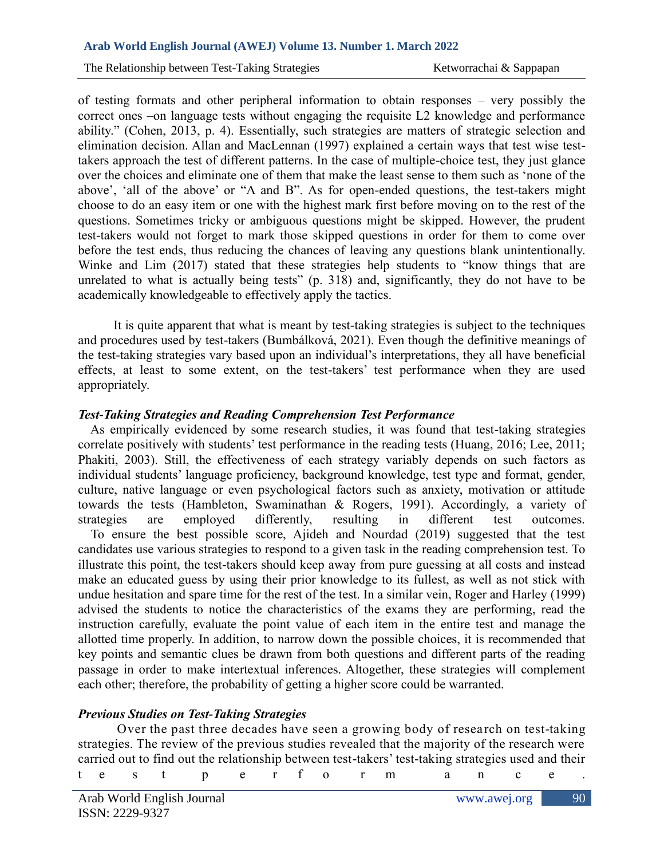of testing formats and other peripheral information to obtain responses – very possibly the correct ones –on language tests without engaging the requisite L2 knowledge and performance ability." (Cohen, 2013, p. 4). Essentially, such strategies are matters of strategic selection and elimination decision. Allan and MacLennan (1997) explained a certain ways that test wise testtakers approach the test of different patterns. In the case of multiple-choice test, they just glance over the choices and eliminate one of them that make the least sense to them such as 'none of the above', 'all of the above' or "A and B". As for open-ended questions, the test-takers might choose to do an easy item or one with the highest mark first before moving on to the rest of the questions. Sometimes tricky or ambiguous questions might be skipped. However, the prudent test-takers would not forget to mark those skipped questions in order for them to come over before the test ends, thus reducing the chances of leaving any questions blank unintentionally. Winke and Lim (2017) stated that these strategies help students to "know things that are unrelated to what is actually being tests" (p. 318) and, significantly, they do not have to be academically knowledgeable to effectively apply the tactics.

It is quite apparent that what is meant by test-taking strategies is subject to the techniques and procedures used by test-takers (Bumbálková, 2021). Even though the definitive meanings of the test-taking strategies vary based upon an individual's interpretations, they all have beneficial effects, at least to some extent, on the test-takers' test performance when they are used appropriately.

### *Test-Taking Strategies and Reading Comprehension Test Performance*

 As empirically evidenced by some research studies, it was found that test-taking strategies correlate positively with students' test performance in the reading tests (Huang, 2016; Lee, 2011; Phakiti, 2003). Still, the effectiveness of each strategy variably depends on such factors as individual students' language proficiency, background knowledge, test type and format, gender, culture, native language or even psychological factors such as anxiety, motivation or attitude towards the tests (Hambleton, Swaminathan & Rogers, 1991). Accordingly, a variety of strategies are employed differently, resulting in different test outcomes. To ensure the best possible score, Ajideh and Nourdad (2019) suggested that the test candidates use various strategies to respond to a given task in the reading comprehension test. To illustrate this point, the test-takers should keep away from pure guessing at all costs and instead make an educated guess by using their prior knowledge to its fullest, as well as not stick with undue hesitation and spare time for the rest of the test. In a similar vein, Roger and Harley (1999) advised the students to notice the characteristics of the exams they are performing, read the instruction carefully, evaluate the point value of each item in the entire test and manage the allotted time properly. In addition, to narrow down the possible choices, it is recommended that key points and semantic clues be drawn from both questions and different parts of the reading passage in order to make intertextual inferences. Altogether, these strategies will complement each other; therefore, the probability of getting a higher score could be warranted.

#### *Previous Studies on Test-Taking Strategies*

Over the past three decades have seen a growing body of research on test-taking strategies. The review of the previous studies revealed that the majority of the research were carried out to find out the relationship between test-takers' test-taking strategies used and their

|  |  |  |  |  |  |  |  |  |  | test performance. |  |  |  |  |  |
|--|--|--|--|--|--|--|--|--|--|-------------------|--|--|--|--|--|
|--|--|--|--|--|--|--|--|--|--|-------------------|--|--|--|--|--|

90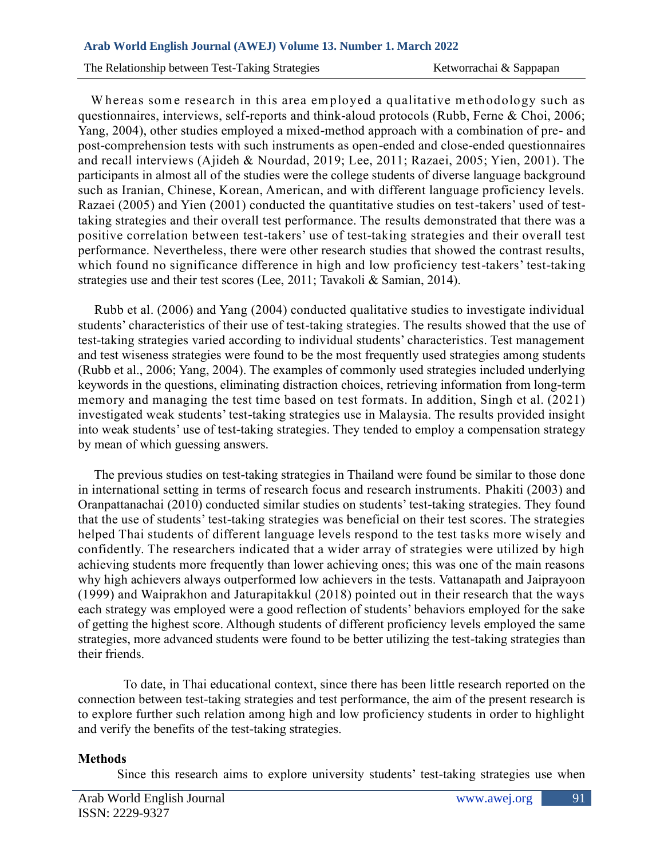The Relationship between Test-Taking Strategies Ketworrachai & Sappapan

Whereas some research in this area employed a qualitative methodology such as questionnaires, interviews, self-reports and think-aloud protocols (Rubb, Ferne & Choi, 2006; Yang, 2004), other studies employed a mixed-method approach with a combination of pre- and post-comprehension tests with such instruments as open-ended and close-ended questionnaires and recall interviews (Ajideh & Nourdad, 2019; Lee, 2011; Razaei, 2005; Yien, 2001). The participants in almost all of the studies were the college students of diverse language background such as Iranian, Chinese, Korean, American, and with different language proficiency levels. Razaei (2005) and Yien (2001) conducted the quantitative studies on test-takers' used of testtaking strategies and their overall test performance. The results demonstrated that there was a positive correlation between test-takers' use of test-taking strategies and their overall test performance. Nevertheless, there were other research studies that showed the contrast results, which found no significance difference in high and low proficiency test-takers' test-taking strategies use and their test scores (Lee, 2011; Tavakoli & Samian, 2014).

 Rubb et al. (2006) and Yang (2004) conducted qualitative studies to investigate individual students' characteristics of their use of test-taking strategies. The results showed that the use of test-taking strategies varied according to individual students' characteristics. Test management and test wiseness strategies were found to be the most frequently used strategies among students (Rubb et al., 2006; Yang, 2004). The examples of commonly used strategies included underlying keywords in the questions, eliminating distraction choices, retrieving information from long-term memory and managing the test time based on test formats. In addition, Singh et al. (2021) investigated weak students' test-taking strategies use in Malaysia. The results provided insight into weak students' use of test-taking strategies. They tended to employ a compensation strategy by mean of which guessing answers.

 The previous studies on test-taking strategies in Thailand were found be similar to those done in international setting in terms of research focus and research instruments. Phakiti (2003) and Oranpattanachai (2010) conducted similar studies on students' test-taking strategies. They found that the use of students' test-taking strategies was beneficial on their test scores. The strategies helped Thai students of different language levels respond to the test tasks more wisely and confidently. The researchers indicated that a wider array of strategies were utilized by high achieving students more frequently than lower achieving ones; this was one of the main reasons why high achievers always outperformed low achievers in the tests. Vattanapath and Jaiprayoon (1999) and Waiprakhon and Jaturapitakkul (2018) pointed out in their research that the ways each strategy was employed were a good reflection of students' behaviors employed for the sake of getting the highest score. Although students of different proficiency levels employed the same strategies, more advanced students were found to be better utilizing the test-taking strategies than their friends.

 To date, in Thai educational context, since there has been little research reported on the connection between test-taking strategies and test performance, the aim of the present research is to explore further such relation among high and low proficiency students in order to highlight and verify the benefits of the test-taking strategies.

### **Methods**

Since this research aims to explore university students' test-taking strategies use when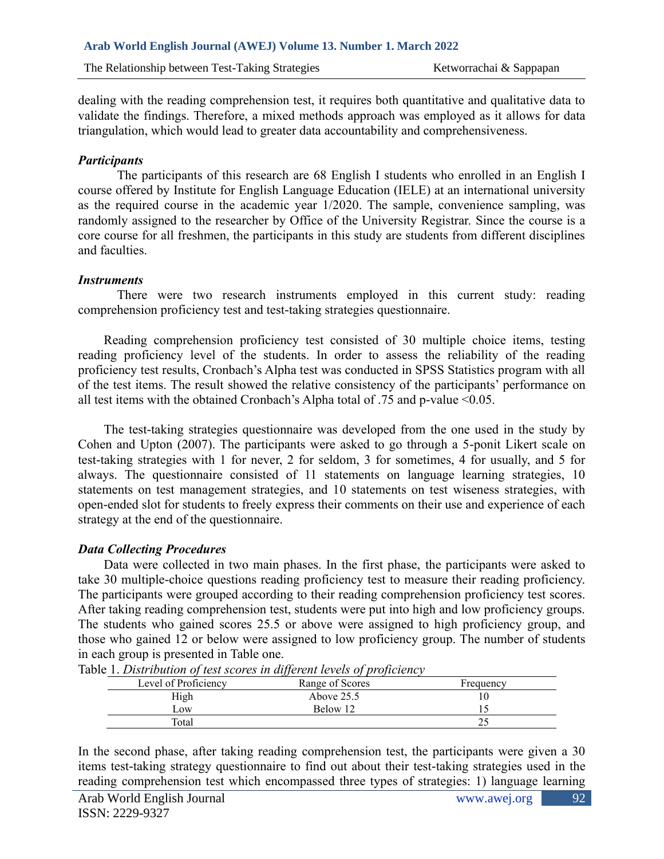dealing with the reading comprehension test, it requires both quantitative and qualitative data to validate the findings. Therefore, a mixed methods approach was employed as it allows for data triangulation, which would lead to greater data accountability and comprehensiveness.

## *Participants*

The participants of this research are 68 English I students who enrolled in an English I course offered by Institute for English Language Education (IELE) at an international university as the required course in the academic year 1/2020. The sample, convenience sampling, was randomly assigned to the researcher by Office of the University Registrar. Since the course is a core course for all freshmen, the participants in this study are students from different disciplines and faculties.

### *Instruments*

There were two research instruments employed in this current study: reading comprehension proficiency test and test-taking strategies questionnaire.

Reading comprehension proficiency test consisted of 30 multiple choice items, testing reading proficiency level of the students. In order to assess the reliability of the reading proficiency test results, Cronbach's Alpha test was conducted in SPSS Statistics program with all of the test items. The result showed the relative consistency of the participants' performance on all test items with the obtained Cronbach's Alpha total of .75 and p-value <0.05.

The test-taking strategies questionnaire was developed from the one used in the study by Cohen and Upton (2007). The participants were asked to go through a 5-ponit Likert scale on test-taking strategies with 1 for never, 2 for seldom, 3 for sometimes, 4 for usually, and 5 for always. The questionnaire consisted of 11 statements on language learning strategies, 10 statements on test management strategies, and 10 statements on test wiseness strategies, with open-ended slot for students to freely express their comments on their use and experience of each strategy at the end of the questionnaire.

# *Data Collecting Procedures*

Data were collected in two main phases. In the first phase, the participants were asked to take 30 multiple-choice questions reading proficiency test to measure their reading proficiency. The participants were grouped according to their reading comprehension proficiency test scores. After taking reading comprehension test, students were put into high and low proficiency groups. The students who gained scores 25.5 or above were assigned to high proficiency group, and those who gained 12 or below were assigned to low proficiency group. The number of students in each group is presented in Table one.

|                      | .<br>.          |           |
|----------------------|-----------------|-----------|
| Level of Proficiency | Range of Scores | Frequency |
| High                 | Above $25.5$    |           |
| $L$ <sub>O</sub> W   | Below 12        |           |
| Total                |                 | ∼         |

Table 1. *Distribution of test scores in different levels of proficiency* 

In the second phase, after taking reading comprehension test, the participants were given a 30 items test-taking strategy questionnaire to find out about their test-taking strategies used in the reading comprehension test which encompassed three types of strategies: 1) language learning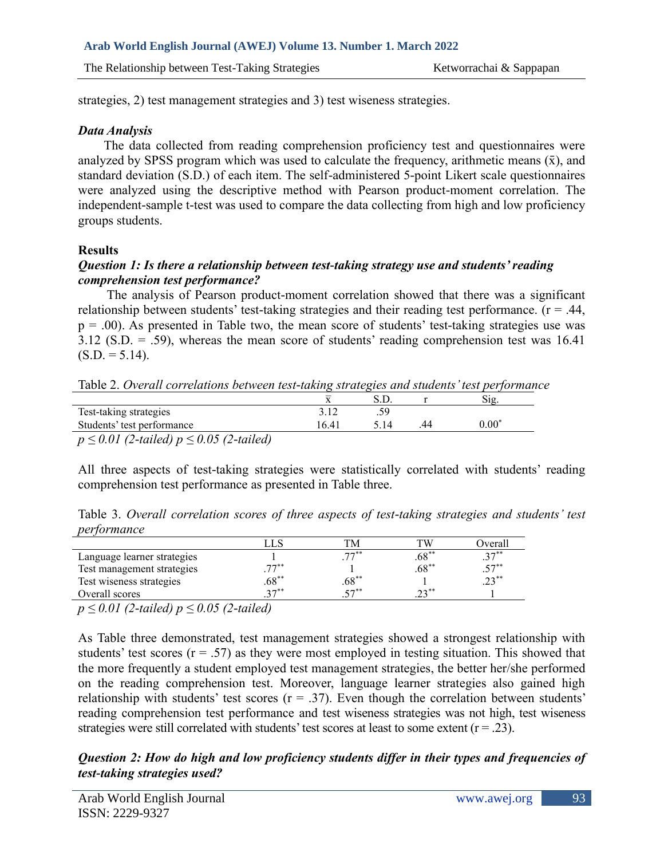The Relationship between Test-Taking Strategies Ketworrachai & Sappapan

strategies, 2) test management strategies and 3) test wiseness strategies.

## *Data Analysis*

The data collected from reading comprehension proficiency test and questionnaires were analyzed by SPSS program which was used to calculate the frequency, arithmetic means  $(\bar{x})$ , and standard deviation (S.D.) of each item. The self-administered 5-point Likert scale questionnaires were analyzed using the descriptive method with Pearson product-moment correlation. The independent-sample t-test was used to compare the data collecting from high and low proficiency groups students.

# **Results**

# *Question 1: Is there a relationship between test-taking strategy use and students' reading comprehension test performance?*

The analysis of Pearson product-moment correlation showed that there was a significant relationship between students' test-taking strategies and their reading test performance. ( $r = .44$ ,  $p = .00$ ). As presented in Table two, the mean score of students' test-taking strategies use was 3.12 (S.D. = .59), whereas the mean score of students' reading comprehension test was 16.41  $(S.D. = 5.14)$ .

Table 2. *Overall correlations between test-taking strategies and students' test performance*

| Test-taking strategies                      |      |  |          |  |
|---------------------------------------------|------|--|----------|--|
| Students' test performance                  | 6.41 |  | $0.00^*$ |  |
| $n < 0.01$ (2-tailed) $n < 0.05$ (2-tailed) |      |  |          |  |

*p ≤ 0.01 (2-tailed) p ≤ 0.05 (2-tailed)*

All three aspects of test-taking strategies were statistically correlated with students' reading comprehension test performance as presented in Table three.

Table 3. *Overall correlation scores of three aspects of test-taking strategies and students' test performance*

|                             |          | тM.                  | гw                            | Overal |
|-----------------------------|----------|----------------------|-------------------------------|--------|
| Language learner strategies |          | $77$ **              | ∗*∩∗<br>.os                   | $27**$ |
| Test management strategies  | 77       |                      | $.68**$                       | $57**$ |
| Test wiseness strategies    | $.68***$ | $.68***$             |                               | 22     |
| Overall scores              | 27       | $\epsilon$ $\neg$ ** | $\mathbf{a} \cdot \mathbf{a}$ |        |
|                             |          |                      |                               |        |

*p ≤ 0.01 (2-tailed) p ≤ 0.05 (2-tailed)*

As Table three demonstrated, test management strategies showed a strongest relationship with students' test scores  $(r = .57)$  as they were most employed in testing situation. This showed that the more frequently a student employed test management strategies, the better her/she performed on the reading comprehension test. Moreover, language learner strategies also gained high relationship with students' test scores  $(r = .37)$ . Even though the correlation between students' reading comprehension test performance and test wiseness strategies was not high, test wiseness strategies were still correlated with students' test scores at least to some extent  $(r = .23)$ .

*Question 2: How do high and low proficiency students differ in their types and frequencies of test-taking strategies used?*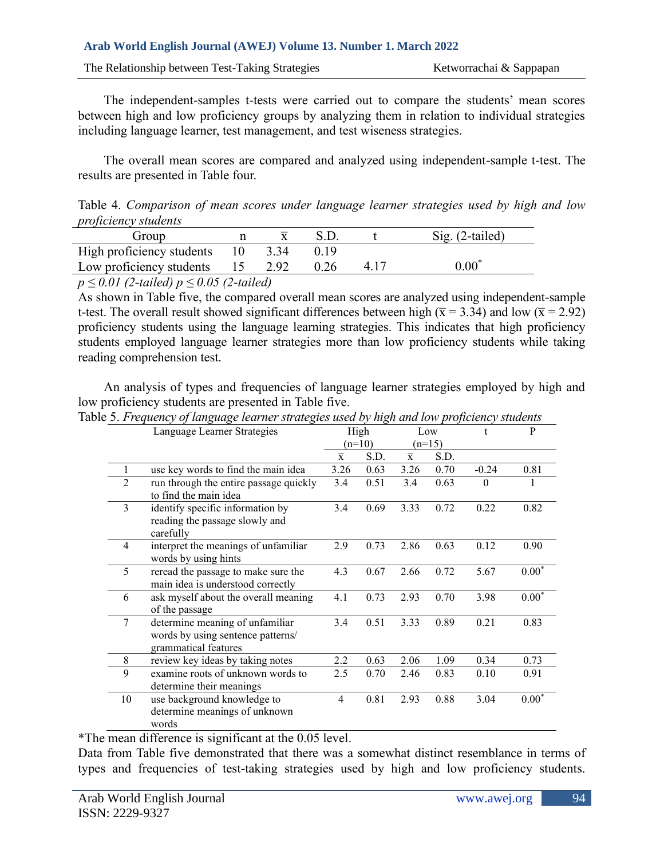The Relationship between Test-Taking Strategies Ketworrachai & Sappapan

The independent-samples t-tests were carried out to compare the students' mean scores between high and low proficiency groups by analyzing them in relation to individual strategies including language learner, test management, and test wiseness strategies.

The overall mean scores are compared and analyzed using independent-sample t-test. The results are presented in Table four.

Table 4. *Comparison of mean scores under language learner strategies used by high and low proficiency students*

| Group                                                   |  |       |  |      | $Sig. (2-tailed)$        |  |  |  |  |  |
|---------------------------------------------------------|--|-------|--|------|--------------------------|--|--|--|--|--|
| High proficiency students 10                            |  | -3.34 |  |      |                          |  |  |  |  |  |
| Low proficiency students 15                             |  | 2.92  |  | 4.17 | $0.00\mathrm{ }^{\circ}$ |  |  |  |  |  |
| $\sim$ < 0.01 (2.4 $(1, 1)$ $\sim$ < 0.05 (2.4 $(1, 1)$ |  |       |  |      |                          |  |  |  |  |  |

*p ≤ 0.01 (2-tailed) p ≤ 0.05 (2-tailed)*

As shown in Table five, the compared overall mean scores are analyzed using independent-sample t-test. The overall result showed significant differences between high ( $\bar{x}$  = 3.34) and low ( $\bar{x}$  = 2.92) proficiency students using the language learning strategies. This indicates that high proficiency students employed language learner strategies more than low proficiency students while taking reading comprehension test.

An analysis of types and frequencies of language learner strategies employed by high and low proficiency students are presented in Table five.

|                | Language Learner Strategies                                                                  |                         | High     |                         | Low  |          | $\mathbf{P}$ |
|----------------|----------------------------------------------------------------------------------------------|-------------------------|----------|-------------------------|------|----------|--------------|
|                |                                                                                              |                         | $(n=10)$ | $(n=15)$                |      |          |              |
|                |                                                                                              | $\overline{\mathbf{x}}$ | S.D.     | $\overline{\textbf{x}}$ | S.D. |          |              |
|                | use key words to find the main idea                                                          | 3.26                    | 0.63     | 3.26                    | 0.70 | $-0.24$  | 0.81         |
| $\overline{2}$ | run through the entire passage quickly<br>to find the main idea                              | 3.4                     | 0.51     | 3.4                     | 0.63 | $\theta$ |              |
| 3              | identify specific information by<br>reading the passage slowly and<br>carefully              | 3.4                     | 0.69     | 3.33                    | 0.72 | 0.22     | 0.82         |
| $\overline{4}$ | interpret the meanings of unfamiliar<br>words by using hints                                 | 2.9                     | 0.73     | 2.86                    | 0.63 | 0.12     | 0.90         |
| 5              | reread the passage to make sure the<br>main idea is understood correctly                     | 4.3                     | 0.67     | 2.66                    | 0.72 | 5.67     | $0.00*$      |
| 6              | ask myself about the overall meaning<br>of the passage                                       | 4.1                     | 0.73     | 2.93                    | 0.70 | 3.98     | $0.00*$      |
| 7              | determine meaning of unfamiliar<br>words by using sentence patterns/<br>grammatical features | 3.4                     | 0.51     | 3.33                    | 0.89 | 0.21     | 0.83         |
| $8\,$          | review key ideas by taking notes                                                             | 2.2                     | 0.63     | 2.06                    | 1.09 | 0.34     | 0.73         |
| 9              | examine roots of unknown words to<br>determine their meanings                                | 2.5                     | 0.70     | 2.46                    | 0.83 | 0.10     | 0.91         |
| 10             | use background knowledge to<br>determine meanings of unknown<br>words                        | $\overline{4}$          | 0.81     | 2.93                    | 0.88 | 3.04     | $0.00*$      |

Table 5. *Frequency of language learner strategies used by high and low proficiency students*

\*The mean difference is significant at the 0.05 level.

Data from Table five demonstrated that there was a somewhat distinct resemblance in terms of types and frequencies of test-taking strategies used by high and low proficiency students.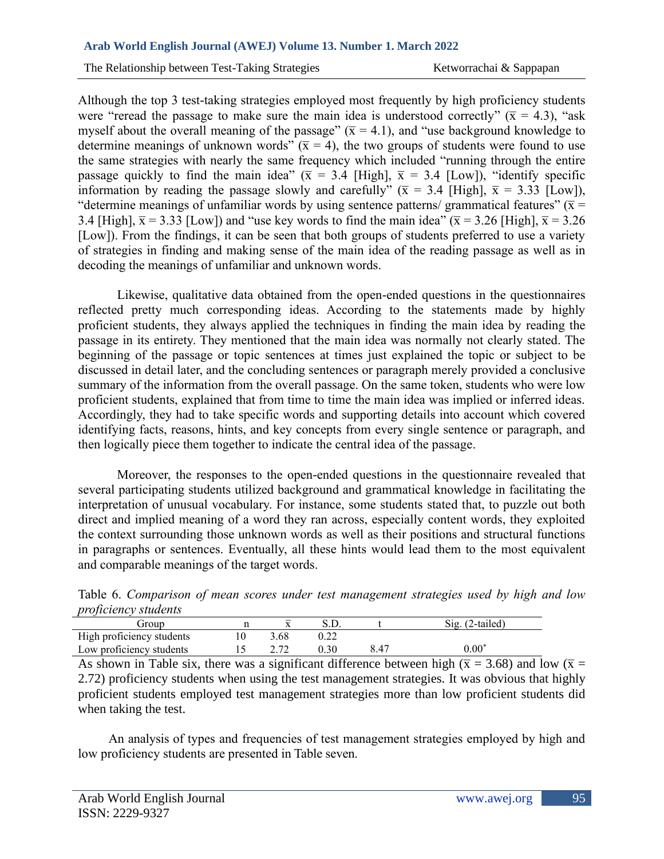The Relationship between Test-Taking Strategies Ketworrachai & Sappapan

Although the top 3 test-taking strategies employed most frequently by high proficiency students were "reread the passage to make sure the main idea is understood correctly" ( $\bar{x}$  = 4.3), "ask myself about the overall meaning of the passage"  $(\bar{x} = 4.1)$ , and "use background knowledge to determine meanings of unknown words" ( $\bar{x} = 4$ ), the two groups of students were found to use the same strategies with nearly the same frequency which included "running through the entire passage quickly to find the main idea" ( $\bar{x}$  = 3.4 [High],  $\bar{x}$  = 3.4 [Low]), "identify specific information by reading the passage slowly and carefully" ( $\bar{x}$  = 3.4 [High],  $\bar{x}$  = 3.33 [Low]), "determine meanings of unfamiliar words by using sentence patterns/ grammatical features" ( $\bar{x}$  = 3.4 [High],  $\bar{x}$  = 3.33 [Low]) and "use key words to find the main idea" ( $\bar{x}$  = 3.26 [High],  $\bar{x}$  = 3.26 [Low]). From the findings, it can be seen that both groups of students preferred to use a variety of strategies in finding and making sense of the main idea of the reading passage as well as in decoding the meanings of unfamiliar and unknown words.

Likewise, qualitative data obtained from the open-ended questions in the questionnaires reflected pretty much corresponding ideas. According to the statements made by highly proficient students, they always applied the techniques in finding the main idea by reading the passage in its entirety. They mentioned that the main idea was normally not clearly stated. The beginning of the passage or topic sentences at times just explained the topic or subject to be discussed in detail later, and the concluding sentences or paragraph merely provided a conclusive summary of the information from the overall passage. On the same token, students who were low proficient students, explained that from time to time the main idea was implied or inferred ideas. Accordingly, they had to take specific words and supporting details into account which covered identifying facts, reasons, hints, and key concepts from every single sentence or paragraph, and then logically piece them together to indicate the central idea of the passage.

Moreover, the responses to the open-ended questions in the questionnaire revealed that several participating students utilized background and grammatical knowledge in facilitating the interpretation of unusual vocabulary. For instance, some students stated that, to puzzle out both direct and implied meaning of a word they ran across, especially content words, they exploited the context surrounding those unknown words as well as their positions and structural functions in paragraphs or sentences. Eventually, all these hints would lead them to the most equivalent and comparable meanings of the target words.

Table 6. *Comparison of mean scores under test management strategies used by high and low proficiency students*

| .<br>-------------        |      |               |      |                   |
|---------------------------|------|---------------|------|-------------------|
| Group                     |      |               |      | $Sig. (2-tailed)$ |
| High proficiency students | 3.68 |               |      |                   |
| Low proficiency students  |      | $0.30^{+0.1}$ | 8.47 | $0.00^*$          |

As shown in Table six, there was a significant difference between high ( $\bar{x}$  = 3.68) and low ( $\bar{x}$  = 2.72) proficiency students when using the test management strategies. It was obvious that highly proficient students employed test management strategies more than low proficient students did when taking the test.

An analysis of types and frequencies of test management strategies employed by high and low proficiency students are presented in Table seven.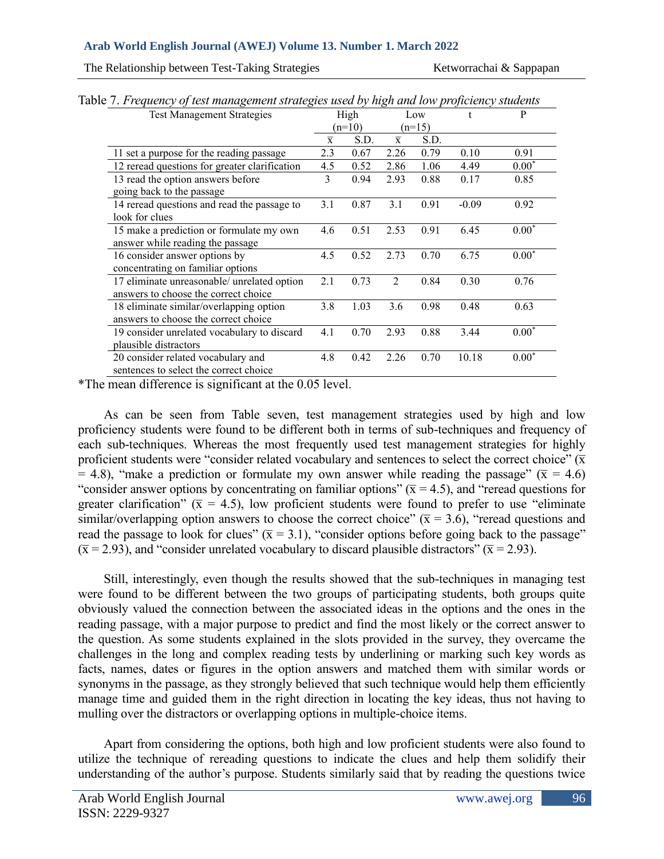The Relationship between Test-Taking Strategies Ketworrachai & Sappapan

| <b>Test Management Strategies</b>                                                          |                | High     | Low            |          |         | P       |
|--------------------------------------------------------------------------------------------|----------------|----------|----------------|----------|---------|---------|
|                                                                                            |                | $(n=10)$ |                | $(n=15)$ |         |         |
|                                                                                            | $\overline{x}$ | S.D.     | $\overline{x}$ | S.D.     |         |         |
| 11 set a purpose for the reading passage                                                   | 2.3            | 0.67     | 2.26           | 0.79     | 0.10    | 0.91    |
| 12 reread questions for greater clarification                                              | 4.5            | 0.52     | 2.86           | 1.06     | 4.49    | $0.00*$ |
| 13 read the option answers before                                                          | 3              | 0.94     | 2.93           | 0.88     | 0.17    | 0.85    |
| going back to the passage<br>14 reread questions and read the passage to<br>look for clues | 3.1            | 0.87     | 3.1            | 0.91     | $-0.09$ | 0.92    |
| 15 make a prediction or formulate my own<br>answer while reading the passage               | 4.6            | 0.51     | 2.53           | 0.91     | 6.45    | $0.00*$ |
| 16 consider answer options by<br>concentrating on familiar options                         | 4.5            | 0.52     | 2.73           | 0.70     | 6.75    | $0.00*$ |
| 17 eliminate unreasonable/ unrelated option<br>answers to choose the correct choice        | 2.1            | 0.73     | $\mathfrak{D}$ | 0.84     | 0.30    | 0.76    |
| 18 eliminate similar/overlapping option<br>answers to choose the correct choice            | 3.8            | 1.03     | 3.6            | 0.98     | 0.48    | 0.63    |
| 19 consider unrelated vocabulary to discard<br>plausible distractors                       | 4.1            | 0.70     | 2.93           | 0.88     | 3.44    | $0.00*$ |
| 20 consider related vocabulary and<br>sentences to select the correct choice               | 4.8            | 0.42     | 2.26           | 0.70     | 10.18   | $0.00*$ |

Table 7. *Frequency of test management strategies used by high and low proficiency students*

\*The mean difference is significant at the 0.05 level.

As can be seen from Table seven, test management strategies used by high and low proficiency students were found to be different both in terms of sub-techniques and frequency of each sub-techniques. Whereas the most frequently used test management strategies for highly proficient students were "consider related vocabulary and sentences to select the correct choice"  $(\bar{x})$ = 4.8), "make a prediction or formulate my own answer while reading the passage" ( $\bar{x}$  = 4.6) "consider answer options by concentrating on familiar options" ( $\bar{x}$  = 4.5), and "reread questions for greater clarification" ( $\bar{x}$  = 4.5), low proficient students were found to prefer to use "eliminate" similar/overlapping option answers to choose the correct choice" ( $\bar{x}$  = 3.6), "reread questions and read the passage to look for clues" ( $\bar{x}$  = 3.1), "consider options before going back to the passage"  $(\bar{x} = 2.93)$ , and "consider unrelated vocabulary to discard plausible distractors" ( $\bar{x} = 2.93$ ).

Still, interestingly, even though the results showed that the sub-techniques in managing test were found to be different between the two groups of participating students, both groups quite obviously valued the connection between the associated ideas in the options and the ones in the reading passage, with a major purpose to predict and find the most likely or the correct answer to the question. As some students explained in the slots provided in the survey, they overcame the challenges in the long and complex reading tests by underlining or marking such key words as facts, names, dates or figures in the option answers and matched them with similar words or synonyms in the passage, as they strongly believed that such technique would help them efficiently manage time and guided them in the right direction in locating the key ideas, thus not having to mulling over the distractors or overlapping options in multiple-choice items.

Apart from considering the options, both high and low proficient students were also found to utilize the technique of rereading questions to indicate the clues and help them solidify their understanding of the author's purpose. Students similarly said that by reading the questions twice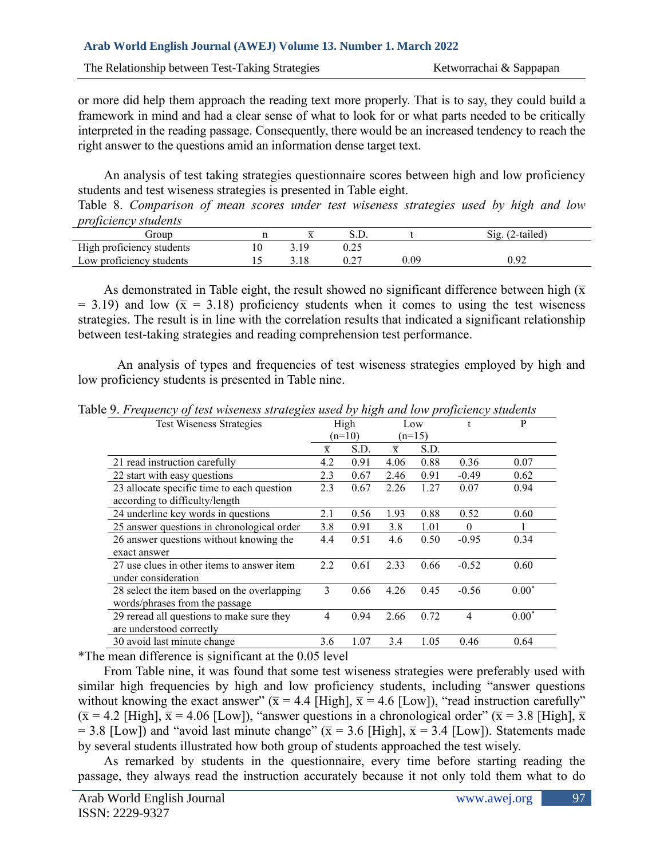or more did help them approach the reading text more properly. That is to say, they could build a framework in mind and had a clear sense of what to look for or what parts needed to be critically interpreted in the reading passage. Consequently, there would be an increased tendency to reach the right answer to the questions amid an information dense target text.

An analysis of test taking strategies questionnaire scores between high and low proficiency students and test wiseness strategies is presented in Table eight.

Table 8. *Comparison of mean scores under test wiseness strategies used by high and low proficiency students*

| .<br>.<br>froup           |    |           |      | $\angle$ -tailed)<br>512. |
|---------------------------|----|-----------|------|---------------------------|
| High proficiency students | 10 | 0.25      |      |                           |
| Low proficiency students  |    | $0.2^{-}$ | 0.09 | 0.92                      |

As demonstrated in Table eight, the result showed no significant difference between high ( $\overline{x}$  $= 3.19$ ) and low ( $\bar{x} = 3.18$ ) proficiency students when it comes to using the test wiseness strategies. The result is in line with the correlation results that indicated a significant relationship between test-taking strategies and reading comprehension test performance.

An analysis of types and frequencies of test wiseness strategies employed by high and low proficiency students is presented in Table nine.

|                | High           |                  |                | t                       | P       |
|----------------|----------------|------------------|----------------|-------------------------|---------|
|                |                |                  |                |                         |         |
|                |                |                  |                |                         |         |
| 4.2            | 0.91           | 4.06             | 0.88           | 0.36                    | 0.07    |
| 2.3            | 0.67           | 2.46             | 0.91           | $-0.49$                 | 0.62    |
| 2.3            | 0.67           | 2.26             | 1.27           | 0.07                    | 0.94    |
|                |                |                  |                |                         |         |
| 2.1            | 0.56           | 1.93             | 0.88           | 0.52                    | 0.60    |
| 3.8            | 0.91           | 3.8              | 1.01           | $\theta$                |         |
| 4.4            | 0.51           | 4.6              | 0.50           | $-0.95$                 | 0.34    |
|                |                |                  |                |                         |         |
| 2.2            | 0.61           | 2.33             | 0.66           | $-0.52$                 | 0.60    |
|                |                |                  |                |                         |         |
| 3              | 0.66           | 4.26             | 0.45           | $-0.56$                 | $0.00*$ |
|                |                |                  |                |                         |         |
| $\overline{4}$ | 0.94           | 2.66             | 0.72           | $\overline{4}$          | $0.00*$ |
|                |                |                  |                |                         |         |
| 3.6            | 1.07           | 3.4              | 1.05           | 0.46                    | 0.64    |
|                | $\overline{x}$ | $(n=10)$<br>S.D. | $\overline{x}$ | Low<br>$(n=15)$<br>S.D. |         |

Table 9. *Frequency of test wiseness strategies used by high and low proficiency students* 

\*The mean difference is significant at the 0.05 level

From Table nine, it was found that some test wiseness strategies were preferably used with similar high frequencies by high and low proficiency students, including "answer questions without knowing the exact answer"  $(\bar{x} = 4.4$  [High],  $\bar{x} = 4.6$  [Low]), "read instruction carefully"  $(\bar{x} = 4.2$  [High],  $\bar{x} = 4.06$  [Low]), "answer questions in a chronological order" ( $\bar{x} = 3.8$  [High],  $\bar{x}$ = 3.8 [Low]) and "avoid last minute change" ( $\bar{x}$  = 3.6 [High],  $\bar{x}$  = 3.4 [Low]). Statements made by several students illustrated how both group of students approached the test wisely.

As remarked by students in the questionnaire, every time before starting reading the passage, they always read the instruction accurately because it not only told them what to do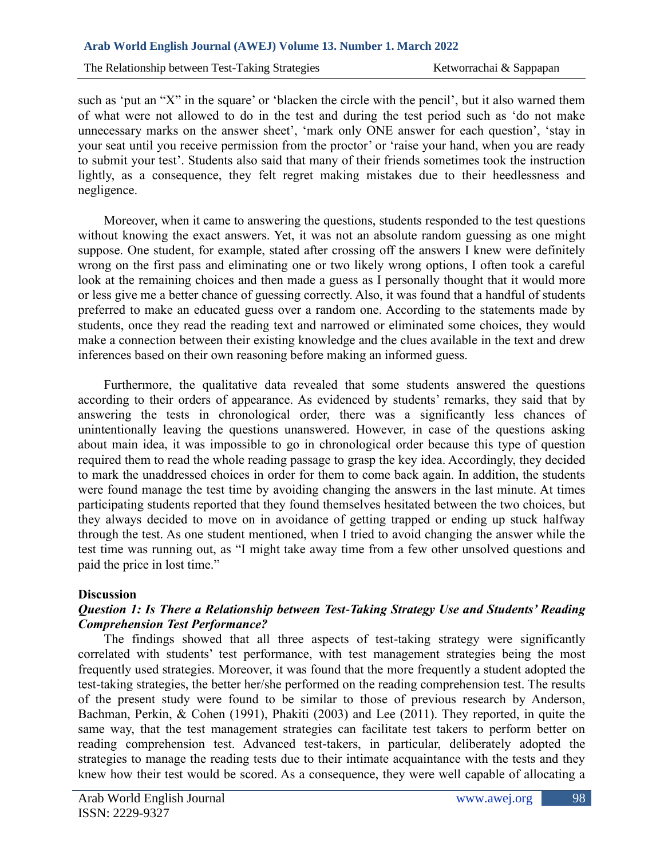The Relationship between Test-Taking Strategies Ketworrachai & Sappapan

such as 'put an "X" in the square' or 'blacken the circle with the pencil', but it also warned them of what were not allowed to do in the test and during the test period such as 'do not make unnecessary marks on the answer sheet', 'mark only ONE answer for each question', 'stay in your seat until you receive permission from the proctor' or 'raise your hand, when you are ready to submit your test'. Students also said that many of their friends sometimes took the instruction lightly, as a consequence, they felt regret making mistakes due to their heedlessness and negligence.

Moreover, when it came to answering the questions, students responded to the test questions without knowing the exact answers. Yet, it was not an absolute random guessing as one might suppose. One student, for example, stated after crossing off the answers I knew were definitely wrong on the first pass and eliminating one or two likely wrong options, I often took a careful look at the remaining choices and then made a guess as I personally thought that it would more or less give me a better chance of guessing correctly. Also, it was found that a handful of students preferred to make an educated guess over a random one. According to the statements made by students, once they read the reading text and narrowed or eliminated some choices, they would make a connection between their existing knowledge and the clues available in the text and drew inferences based on their own reasoning before making an informed guess.

Furthermore, the qualitative data revealed that some students answered the questions according to their orders of appearance. As evidenced by students' remarks, they said that by answering the tests in chronological order, there was a significantly less chances of unintentionally leaving the questions unanswered. However, in case of the questions asking about main idea, it was impossible to go in chronological order because this type of question required them to read the whole reading passage to grasp the key idea. Accordingly, they decided to mark the unaddressed choices in order for them to come back again. In addition, the students were found manage the test time by avoiding changing the answers in the last minute. At times participating students reported that they found themselves hesitated between the two choices, but they always decided to move on in avoidance of getting trapped or ending up stuck halfway through the test. As one student mentioned, when I tried to avoid changing the answer while the test time was running out, as "I might take away time from a few other unsolved questions and paid the price in lost time."

### **Discussion**

# *Question 1: Is There a Relationship between Test-Taking Strategy Use and Students' Reading Comprehension Test Performance?*

The findings showed that all three aspects of test-taking strategy were significantly correlated with students' test performance, with test management strategies being the most frequently used strategies. Moreover, it was found that the more frequently a student adopted the test-taking strategies, the better her/she performed on the reading comprehension test. The results of the present study were found to be similar to those of previous research by Anderson, Bachman, Perkin, & Cohen (1991), Phakiti (2003) and Lee (2011). They reported, in quite the same way, that the test management strategies can facilitate test takers to perform better on reading comprehension test. Advanced test-takers, in particular, deliberately adopted the strategies to manage the reading tests due to their intimate acquaintance with the tests and they knew how their test would be scored. As a consequence, they were well capable of allocating a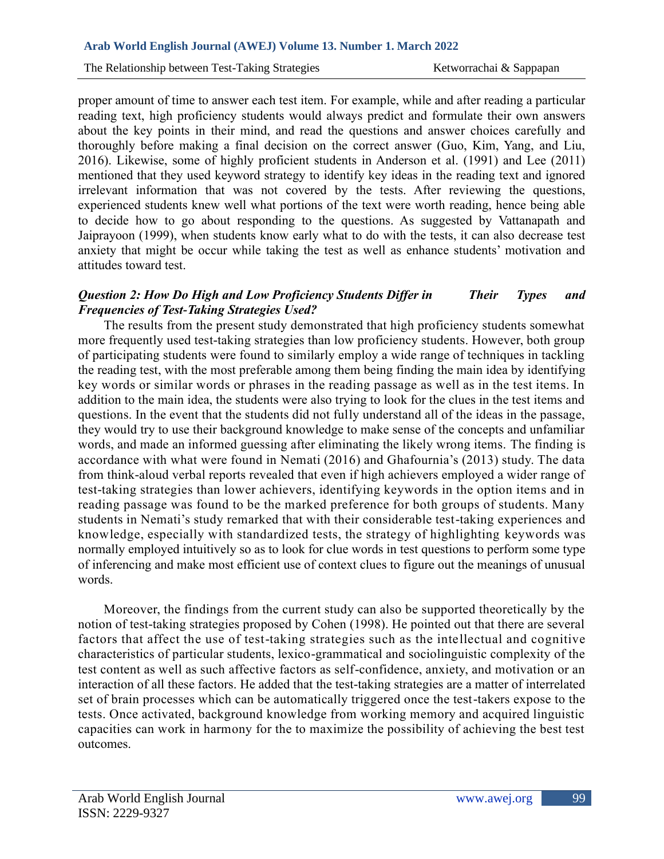proper amount of time to answer each test item. For example, while and after reading a particular reading text, high proficiency students would always predict and formulate their own answers about the key points in their mind, and read the questions and answer choices carefully and thoroughly before making a final decision on the correct answer (Guo, Kim, Yang, and Liu, 2016). Likewise, some of highly proficient students in Anderson et al. (1991) and Lee (2011) mentioned that they used keyword strategy to identify key ideas in the reading text and ignored irrelevant information that was not covered by the tests. After reviewing the questions, experienced students knew well what portions of the text were worth reading, hence being able to decide how to go about responding to the questions. As suggested by Vattanapath and Jaiprayoon (1999), when students know early what to do with the tests, it can also decrease test anxiety that might be occur while taking the test as well as enhance students' motivation and attitudes toward test.

## *Question 2: How Do High and Low Proficiency Students Differ in Their Types and Frequencies of Test-Taking Strategies Used?*

The results from the present study demonstrated that high proficiency students somewhat more frequently used test-taking strategies than low proficiency students. However, both group of participating students were found to similarly employ a wide range of techniques in tackling the reading test, with the most preferable among them being finding the main idea by identifying key words or similar words or phrases in the reading passage as well as in the test items. In addition to the main idea, the students were also trying to look for the clues in the test items and questions. In the event that the students did not fully understand all of the ideas in the passage, they would try to use their background knowledge to make sense of the concepts and unfamiliar words, and made an informed guessing after eliminating the likely wrong items. The finding is accordance with what were found in Nemati (2016) and Ghafournia's (2013) study. The data from think-aloud verbal reports revealed that even if high achievers employed a wider range of test-taking strategies than lower achievers, identifying keywords in the option items and in reading passage was found to be the marked preference for both groups of students. Many students in Nemati's study remarked that with their considerable test-taking experiences and knowledge, especially with standardized tests, the strategy of highlighting keywords was normally employed intuitively so as to look for clue words in test questions to perform some type of inferencing and make most efficient use of context clues to figure out the meanings of unusual words.

Moreover, the findings from the current study can also be supported theoretically by the notion of test-taking strategies proposed by Cohen (1998). He pointed out that there are several factors that affect the use of test-taking strategies such as the intellectual and cognitive characteristics of particular students, lexico-grammatical and sociolinguistic complexity of the test content as well as such affective factors as self-confidence, anxiety, and motivation or an interaction of all these factors. He added that the test-taking strategies are a matter of interrelated set of brain processes which can be automatically triggered once the test-takers expose to the tests. Once activated, background knowledge from working memory and acquired linguistic capacities can work in harmony for the to maximize the possibility of achieving the best test outcomes.

99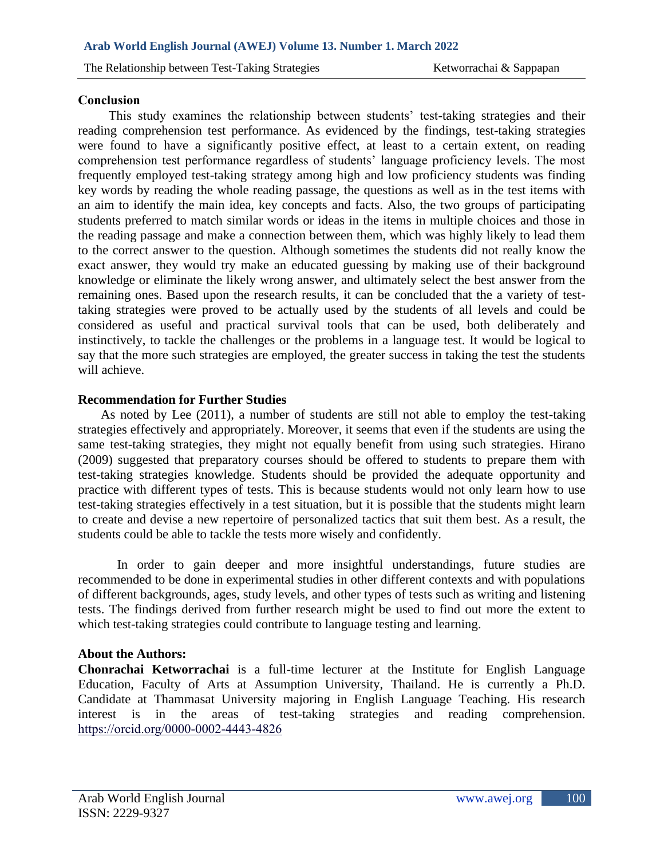## **Conclusion**

This study examines the relationship between students' test-taking strategies and their reading comprehension test performance. As evidenced by the findings, test-taking strategies were found to have a significantly positive effect, at least to a certain extent, on reading comprehension test performance regardless of students' language proficiency levels. The most frequently employed test-taking strategy among high and low proficiency students was finding key words by reading the whole reading passage, the questions as well as in the test items with an aim to identify the main idea, key concepts and facts. Also, the two groups of participating students preferred to match similar words or ideas in the items in multiple choices and those in the reading passage and make a connection between them, which was highly likely to lead them to the correct answer to the question. Although sometimes the students did not really know the exact answer, they would try make an educated guessing by making use of their background knowledge or eliminate the likely wrong answer, and ultimately select the best answer from the remaining ones. Based upon the research results, it can be concluded that the a variety of testtaking strategies were proved to be actually used by the students of all levels and could be considered as useful and practical survival tools that can be used, both deliberately and instinctively, to tackle the challenges or the problems in a language test. It would be logical to say that the more such strategies are employed, the greater success in taking the test the students will achieve.

# **Recommendation for Further Studies**

 As noted by Lee (2011), a number of students are still not able to employ the test-taking strategies effectively and appropriately. Moreover, it seems that even if the students are using the same test-taking strategies, they might not equally benefit from using such strategies. Hirano (2009) suggested that preparatory courses should be offered to students to prepare them with test-taking strategies knowledge. Students should be provided the adequate opportunity and practice with different types of tests. This is because students would not only learn how to use test-taking strategies effectively in a test situation, but it is possible that the students might learn to create and devise a new repertoire of personalized tactics that suit them best. As a result, the students could be able to tackle the tests more wisely and confidently.

In order to gain deeper and more insightful understandings, future studies are recommended to be done in experimental studies in other different contexts and with populations of different backgrounds, ages, study levels, and other types of tests such as writing and listening tests. The findings derived from further research might be used to find out more the extent to which test-taking strategies could contribute to language testing and learning.

# **About the Authors:**

**Chonrachai Ketworrachai** is a full-time lecturer at the Institute for English Language Education, Faculty of Arts at Assumption University, Thailand. He is currently a Ph.D. Candidate at Thammasat University majoring in English Language Teaching. His research interest is in the areas of test-taking strategies and reading comprehension. <https://orcid.org/0000-0002-4443-4826>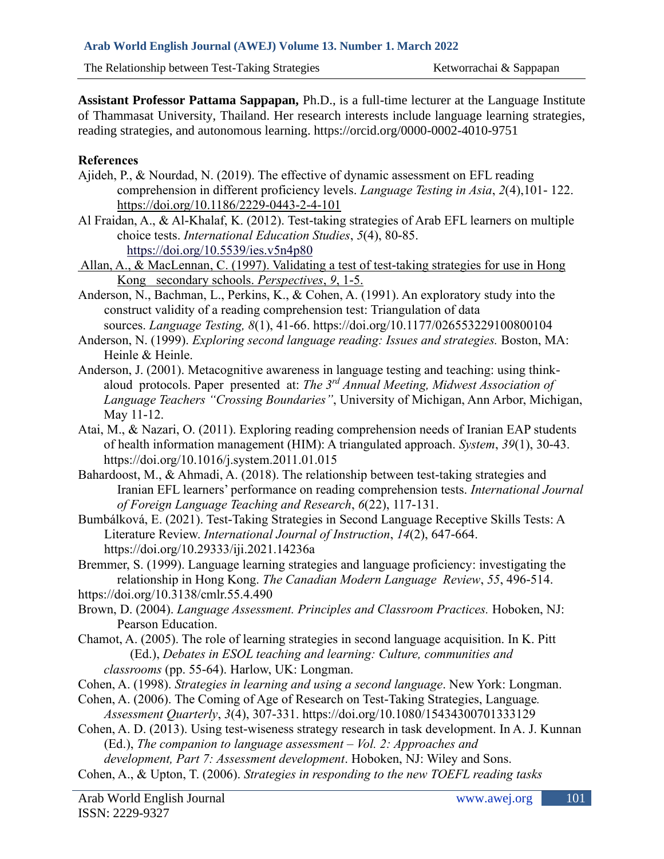**Assistant Professor Pattama Sappapan,** Ph.D., is a full-time lecturer at the Language Institute of Thammasat University, Thailand. Her research interests include language learning strategies, reading strategies, and autonomous learning. https://orcid.org/0000-0002-4010-9751

## **References**

- Ajideh, P., & Nourdad, N. (2019). The effective of dynamic assessment on EFL reading comprehension in different proficiency levels. *Language Testing in Asia*, *2*(4),101- 122. <https://doi.org/10.1186/2229-0443-2-4-101>
- Al Fraidan, A., & Al-Khalaf, K. (2012). Test-taking strategies of Arab EFL learners on multiple choice tests. *International Education Studies*, *5*(4), 80-85. <https://doi.org/10.5539/ies.v5n4p80>
- Allan, A., & MacLennan, C. (1997). Validating a test of test-taking strategies for use in Hong Kong secondary schools. *Perspectives*, *9*, 1-5.
- Anderson, N., Bachman, L., Perkins, K., & Cohen, A. (1991). An exploratory study into the construct validity of a reading comprehension test: Triangulation of data sources. *Language Testing, 8*(1), 41-66. https://doi.org/10.1177/026553229100800104
- Anderson, N. (1999). *Exploring second language reading: Issues and strategies.* Boston, MA: Heinle & Heinle.
- Anderson, J. (2001). Metacognitive awareness in language testing and teaching: using thinkaloud protocols. Paper presented at: *The 3rd Annual Meeting, Midwest Association of Language Teachers "Crossing Boundaries"*, University of Michigan, Ann Arbor, Michigan, May 11-12.
- Atai, M., & Nazari, O. (2011). Exploring reading comprehension needs of Iranian EAP students of health information management (HIM): A triangulated approach. *System*, *39*(1), 30-43. https://doi.org/10.1016/j.system.2011.01.015
- Bahardoost, M., & Ahmadi, A. (2018). The relationship between test-taking strategies and Iranian EFL learners' performance on reading comprehension tests. *International Journal of Foreign Language Teaching and Research*, *6*(22), 117-131.
- Bumbálková, E. (2021). Test-Taking Strategies in Second Language Receptive Skills Tests: A Literature Review. *International Journal of Instruction*, *14*(2), 647-664. https://doi.org/10.29333/iji.2021.14236a

Bremmer, S. (1999). Language learning strategies and language proficiency: investigating the relationship in Hong Kong. *The Canadian Modern Language Review*, *55*, 496-514. https://doi.org/10.3138/cmlr.55.4.490

- Brown, D. (2004). *Language Assessment. Principles and Classroom Practices.* Hoboken, NJ: Pearson Education.
- Chamot, A. (2005). The role of learning strategies in second language acquisition. In K. Pitt (Ed.), *Debates in ESOL teaching and learning: Culture, communities and classrooms* (pp. 55-64). Harlow, UK: Longman.
- Cohen, A. (1998). *Strategies in learning and using a second language*. New York: Longman.
- Cohen, A. (2006). The Coming of Age of Research on Test-Taking Strategies, Language*. Assessment Quarterly*, *3*(4), 307-331. https://doi.org/10.1080/15434300701333129
- Cohen, A. D. (2013). Using test-wiseness strategy research in task development. In A. J. Kunnan (Ed.), *The companion to language assessment – Vol. 2: Approaches and development, Part 7: Assessment development*. Hoboken, NJ: Wiley and Sons.
- Cohen, A., & Upton, T. (2006). *Strategies in responding to the new TOEFL reading tasks*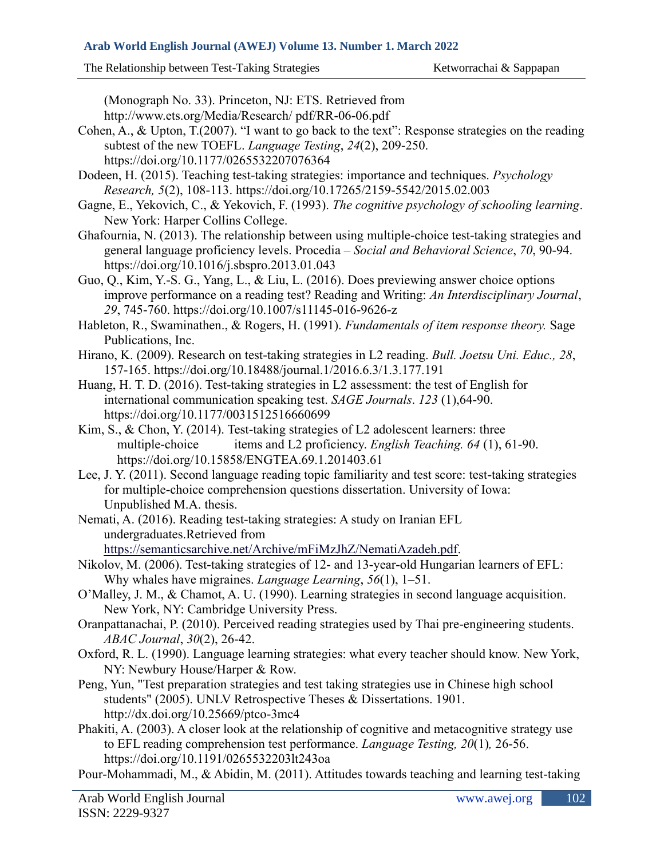(Monograph No. 33). Princeton, NJ: ETS. Retrieved from http://www.ets.org/Media/Research/ pdf/RR-06-06.pdf

- Cohen, A., & Upton, T.(2007). "I want to go back to the text": Response strategies on the reading subtest of the new TOEFL. *Language Testing*, *24*(2), 209-250. https://doi.org/10.1177/0265532207076364
- Dodeen, H. (2015). Teaching test-taking strategies: importance and techniques. *Psychology Research, 5*(2), 108-113. https://doi.org/10.17265/2159-5542/2015.02.003
- Gagne, E., Yekovich, C., & Yekovich, F. (1993). *The cognitive psychology of schooling learning*. New York: Harper Collins College.
- Ghafournia, N. (2013). The relationship between using multiple-choice test-taking strategies and general language proficiency levels. Procedia – *Social and Behavioral Science*, *70*, 90-94. https://doi.org/10.1016/j.sbspro.2013.01.043
- Guo, Q., Kim, Y.-S. G., Yang, L., & Liu, L. (2016). Does previewing answer choice options improve performance on a reading test? Reading and Writing: *An Interdisciplinary Journal*, *29*, 745-760. https://doi.org/10.1007/s11145-016-9626-z
- Hableton, R., Swaminathen., & Rogers, H. (1991). *Fundamentals of item response theory.* Sage Publications, Inc.
- Hirano, K. (2009). Research on test-taking strategies in L2 reading. *Bull. Joetsu Uni. Educ., 28*, 157-165. https://doi.org/10.18488/journal.1/2016.6.3/1.3.177.191
- Huang, H. T. D. (2016). Test-taking strategies in L2 assessment: the test of English for international communication speaking test. *SAGE Journals*. *123* (1),64-90. https://doi.org/10.1177/0031512516660699
- Kim, S., & Chon, Y. (2014). Test-taking strategies of L2 adolescent learners: three multiple-choice items and L2 proficiency. *English Teaching. 64* (1), 61-90. https://doi.org/10.15858/ENGTEA.69.1.201403.61
- Lee, J. Y. (2011). Second language reading topic familiarity and test score: test-taking strategies for multiple-choice comprehension questions dissertation. University of Iowa: Unpublished M.A. thesis.
- Nemati, A. (2016). Reading test-taking strategies: A study on Iranian EFL undergraduates.Retrieved from

[https://semanticsarchive.net/Archive/mFiMzJhZ/NematiAzadeh.pdf.](https://semanticsarchive.net/Archive/mFiMzJhZ/NematiAzadeh.pdf)

- Nikolov, M. (2006). Test-taking strategies of 12- and 13-year-old Hungarian learners of EFL: Why whales have migraines. *Language Learning*, *56*(1), 1–51.
- O'Malley, J. M., & Chamot, A. U. (1990). Learning strategies in second language acquisition. New York, NY: Cambridge University Press.
- Oranpattanachai, P. (2010). Perceived reading strategies used by Thai pre-engineering students. *ABAC Journal*, *30*(2), 26-42.
- Oxford, R. L. (1990). Language learning strategies: what every teacher should know. New York, NY: Newbury House/Harper & Row.
- Peng, Yun, "Test preparation strategies and test taking strategies use in Chinese high school students" (2005). UNLV Retrospective Theses & Dissertations. 1901. http://dx.doi.org/10.25669/ptco-3mc4
- Phakiti, A. (2003). A closer look at the relationship of cognitive and metacognitive strategy use to EFL reading comprehension test performance. *Language Testing, 20*(1)*,* 26-56. https://doi.org/10.1191/0265532203lt243oa

Pour-Mohammadi, M., & Abidin, M. (2011). Attitudes towards teaching and learning test-taking